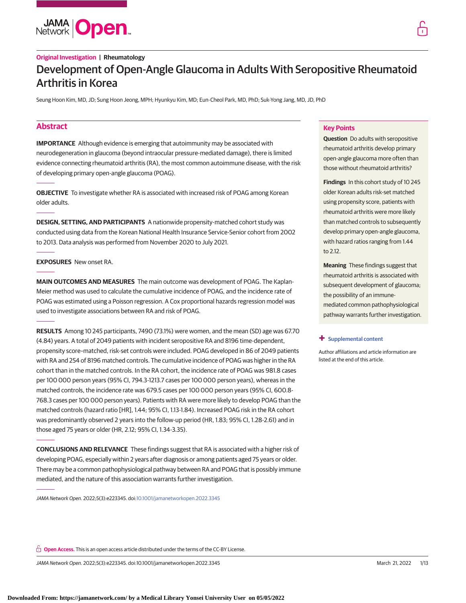

# **Original Investigation | Rheumatology** Development of Open-Angle Glaucoma in Adults With Seropositive Rheumatoid Arthritis in Korea

Seung Hoon Kim, MD, JD; Sung Hoon Jeong, MPH; Hyunkyu Kim, MD; Eun-Cheol Park, MD, PhD; Suk-Yong Jang, MD, JD, PhD

## **Abstract**

**IMPORTANCE** Although evidence is emerging that autoimmunity may be associated with neurodegeneration in glaucoma (beyond intraocular pressure-mediated damage), there is limited evidence connecting rheumatoid arthritis (RA), the most common autoimmune disease, with the risk of developing primary open-angle glaucoma (POAG).

**OBJECTIVE** To investigate whether RA is associated with increased risk of POAG among Korean older adults.

**DESIGN, SETTING, AND PARTICIPANTS** A nationwide propensity-matched cohort study was conducted using data from the Korean National Health Insurance Service-Senior cohort from 2002 to 2013. Data analysis was performed from November 2020 to July 2021.

**EXPOSURES** New onset RA.

**MAIN OUTCOMES AND MEASURES** The main outcome was development of POAG. The Kaplan-Meier method was used to calculate the cumulative incidence of POAG, and the incidence rate of POAG was estimated using a Poisson regression. A Cox proportional hazards regression model was used to investigate associations between RA and risk of POAG.

**RESULTS** Among 10 245 participants, 7490 (73.1%) were women, and the mean (SD) age was 67.70 (4.84) years. A total of 2049 patients with incident seropositive RA and 8196 time-dependent, propensity score–matched, risk-set controls were included. POAG developed in 86 of 2049 patients with RA and 254 of 8196 matched controls. The cumulative incidence of POAG was higher in the RA cohort than in the matched controls. In the RA cohort, the incidence rate of POAG was 981.8 cases per 100 000 person years (95% CI, 794.3-1213.7 cases per 100 000 person years), whereas in the matched controls, the incidence rate was 679.5 cases per 100 000 person years (95% CI, 600.8- 768.3 cases per 100 000 person years). Patients with RA were more likely to develop POAG than the matched controls (hazard ratio [HR], 1.44; 95% CI, 1.13-1.84). Increased POAG risk in the RA cohort was predominantly observed 2 years into the follow-up period (HR, 1.83; 95% CI, 1.28-2.61) and in those aged 75 years or older (HR, 2.12; 95% CI, 1.34-3.35).

**CONCLUSIONS AND RELEVANCE** These findings suggest that RA is associated with a higher risk of developing POAG, especially within 2 years after diagnosis or among patients aged 75 years or older. There may be a common pathophysiological pathway between RA and POAG that is possibly immune mediated, and the nature of this association warrants further investigation.

JAMA Network Open. 2022;5(3):e223345. doi[:10.1001/jamanetworkopen.2022.3345](https://jama.jamanetwork.com/article.aspx?doi=10.1001/jamanetworkopen.2022.3345&utm_campaign=articlePDF%26utm_medium=articlePDFlink%26utm_source=articlePDF%26utm_content=jamanetworkopen.2022.3345)

### **Key Points**

**Question** Do adults with seropositive rheumatoid arthritis develop primary open-angle glaucoma more often than those without rheumatoid arthritis?

**Findings** In this cohort study of 10 245 older Korean adults risk-set matched using propensity score, patients with rheumatoid arthritis were more likely than matched controls to subsequently develop primary open-angle glaucoma, with hazard ratios ranging from 1.44 to 2.12.

**Meaning** These findings suggest that rheumatoid arthritis is associated with subsequent development of glaucoma; the possibility of an immunemediated common pathophysiological pathway warrants further investigation.

#### **+ [Supplemental content](https://jama.jamanetwork.com/article.aspx?doi=10.1001/jamanetworkopen.2022.3345&utm_campaign=articlePDF%26utm_medium=articlePDFlink%26utm_source=articlePDF%26utm_content=jamanetworkopen.2022.3345)**

Author affiliations and article information are listed at the end of this article.

**Open Access.** This is an open access article distributed under the terms of the CC-BY License.

JAMA Network Open. 2022;5(3):e223345. doi:10.1001/jamanetworkopen.2022.3345 (Reprinted) March 21, 2022 1/13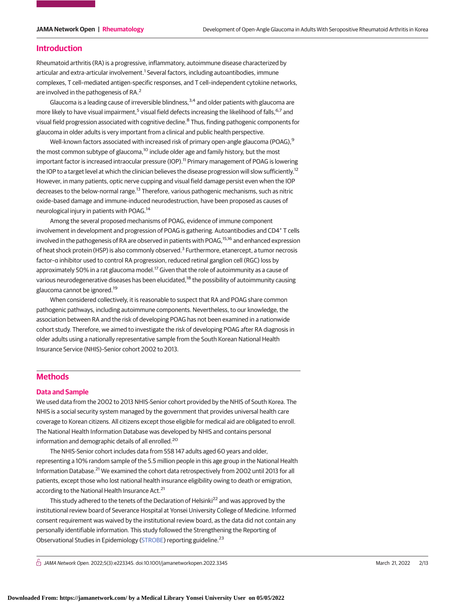### **Introduction**

Rheumatoid arthritis (RA) is a progressive, inflammatory, autoimmune disease characterized by articular and extra-articular involvement.<sup>1</sup> Several factors, including autoantibodies, immune complexes, T cell–mediated antigen-specific responses, and T cell–independent cytokine networks, are involved in the pathogenesis of RA.<sup>2</sup>

Glaucoma is a leading cause of irreversible blindness,  $3,4$  and older patients with glaucoma are more likely to have visual impairment,<sup>5</sup> visual field defects increasing the likelihood of falls, <sup>6,7</sup> and visual field progression associated with cognitive decline.<sup>8</sup> Thus, finding pathogenic components for glaucoma in older adults is very important from a clinical and public health perspective.

Well-known factors associated with increased risk of primary open-angle glaucoma (POAG),<sup>9</sup> the most common subtype of glaucoma,<sup>10</sup> include older age and family history, but the most important factor is increased intraocular pressure (IOP).<sup>11</sup> Primary management of POAG is lowering the IOP to a target level at which the clinician believes the disease progression will slow sufficiently.<sup>12</sup> However, in many patients, optic nerve cupping and visual field damage persist even when the IOP decreases to the below-normal range.<sup>13</sup> Therefore, various pathogenic mechanisms, such as nitric oxide–based damage and immune-induced neurodestruction, have been proposed as causes of neurological injury in patients with POAG.<sup>14</sup>

Among the several proposed mechanisms of POAG, evidence of immune component involvement in development and progression of POAG is gathering. Autoantibodies and CD4<sup>+</sup> T cells involved in the pathogenesis of RA are observed in patients with POAG,  $15,16$  and enhanced expression of heat shock protein (HSP) is also commonly observed.<sup>3</sup> Furthermore, etanercept, a tumor necrosis factor–α inhibitor used to control RA progression, reduced retinal ganglion cell (RGC) loss by approximately 50% in a rat glaucoma model.<sup>17</sup> Given that the role of autoimmunity as a cause of various neurodegenerative diseases has been elucidated,<sup>18</sup> the possibility of autoimmunity causing glaucoma cannot be ignored.<sup>19</sup>

When considered collectively, it is reasonable to suspect that RA and POAG share common pathogenic pathways, including autoimmune components. Nevertheless, to our knowledge, the association between RA and the risk of developing POAG has not been examined in a nationwide cohort study. Therefore, we aimed to investigate the risk of developing POAG after RA diagnosis in older adults using a nationally representative sample from the South Korean National Health Insurance Service (NHIS)–Senior cohort 2002 to 2013.

## **Methods**

### **Data and Sample**

We used data from the 2002 to 2013 NHIS-Senior cohort provided by the NHIS of South Korea. The NHIS is a social security system managed by the government that provides universal health care coverage to Korean citizens. All citizens except those eligible for medical aid are obligated to enroll. The National Health Information Database was developed by NHIS and contains personal information and demographic details of all enrolled.<sup>20</sup>

The NHIS-Senior cohort includes data from 558 147 adults aged 60 years and older, representing a 10% random sample of the 5.5 million people in this age group in the National Health Information Database.<sup>21</sup> We examined the cohort data retrospectively from 2002 until 2013 for all patients, except those who lost national health insurance eligibility owing to death or emigration, according to the National Health Insurance Act.<sup>21</sup>

This study adhered to the tenets of the Declaration of Helsinki<sup>22</sup> and was approved by the institutional review board of Severance Hospital at Yonsei University College of Medicine. Informed consent requirement was waived by the institutional review board, as the data did not contain any personally identifiable information. This study followed the Strengthening the Reporting of Observational Studies in Epidemiology [\(STROBE\)](http://www.equator-network.org/reporting-guidelines/strobe/) reporting guideline.<sup>23</sup>

 $\bigcap$  JAMA Network Open. 2022;5(3):e223345. doi:10.1001/jamanetworkopen.2022.3345 (Reprinted) March 21, 2022 2/13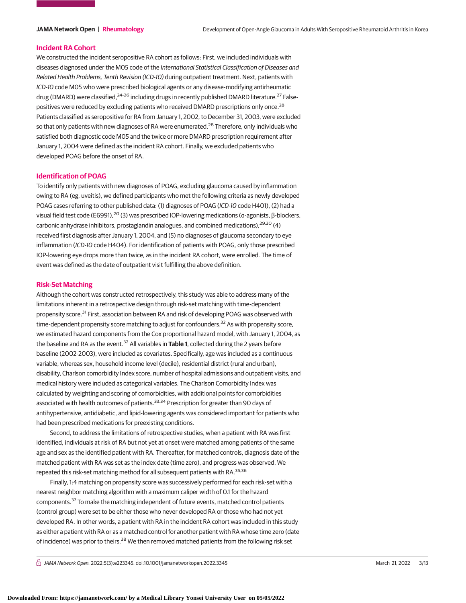#### **Incident RA Cohort**

We constructed the incident seropositive RA cohort as follows: First, we included individuals with diseases diagnosed under the M05 code of the International Statistical Classification of Diseases and Related Health Problems, Tenth Revision (ICD-10) during outpatient treatment. Next, patients with ICD-10 code M05 who were prescribed biological agents or any disease-modifying antirheumatic drug (DMARD) were classified,<sup>24-26</sup> including drugs in recently published DMARD literature.<sup>27</sup> Falsepositives were reduced by excluding patients who received DMARD prescriptions only once.<sup>28</sup> Patients classified as seropositive for RA from January 1, 2002, to December 31, 2003, were excluded so that only patients with new diagnoses of RA were enumerated.<sup>28</sup> Therefore, only individuals who satisfied both diagnostic code M05 and the twice or more DMARD prescription requirement after January 1, 2004 were defined as the incident RA cohort. Finally, we excluded patients who developed POAG before the onset of RA.

### **Identification of POAG**

To identify only patients with new diagnoses of POAG, excluding glaucoma caused by inflammation owing to RA (eg, uveitis), we defined participants who met the following criteria as newly developed POAG cases referring to other published data: (1) diagnoses of POAG (ICD-10 code H401), (2) had a visual field test code (E6991),<sup>20</sup> (3) was prescribed IOP-lowering medications (α-agonists, β-blockers, carbonic anhydrase inhibitors, prostaglandin analogues, and combined medications),  $29,30$  (4) received first diagnosis after January 1, 2004, and (5) no diagnoses of glaucoma secondary to eye inflammation (ICD-10 code H404). For identification of patients with POAG, only those prescribed IOP-lowering eye drops more than twice, as in the incident RA cohort, were enrolled. The time of event was defined as the date of outpatient visit fulfilling the above definition.

#### **Risk-Set Matching**

Although the cohort was constructed retrospectively, this study was able to address many of the limitations inherent in a retrospective design through risk-set matching with time-dependent propensity score.<sup>31</sup> First, association between RA and risk of developing POAG was observed with time-dependent propensity score matching to adjust for confounders.<sup>32</sup> As with propensity score, we estimated hazard components from the Cox proportional hazard model, with January 1, 2004, as the baseline and RA as the event.<sup>32</sup> All variables in **Table 1**, collected during the 2 years before baseline (2002-2003), were included as covariates. Specifically, age was included as a continuous variable, whereas sex, household income level (decile), residential district (rural and urban), disability, Charlson comorbidity Index score, number of hospital admissions and outpatient visits, and medical history were included as categorical variables. The Charlson Comorbidity Index was calculated by weighting and scoring of comorbidities, with additional points for comorbidities associated with health outcomes of patients.<sup>33,34</sup> Prescription for greater than 90 days of antihypertensive, antidiabetic, and lipid-lowering agents was considered important for patients who had been prescribed medications for preexisting conditions.

Second, to address the limitations of retrospective studies, when a patient with RA was first identified, individuals at risk of RA but not yet at onset were matched among patients of the same age and sex as the identified patient with RA. Thereafter, for matched controls, diagnosis date of the matched patient with RA was set as the index date (time zero), and progress was observed. We repeated this risk-set matching method for all subsequent patients with RA.<sup>35,36</sup>

Finally, 1:4 matching on propensity score was successively performed for each risk-set with a nearest neighbor matching algorithm with a maximum caliper width of 0.1 for the hazard components.<sup>37</sup> To make the matching independent of future events, matched control patients (control group) were set to be either those who never developed RA or those who had not yet developed RA. In other words, a patient with RA in the incident RA cohort was included in this study as either a patient with RA or as a matched control for another patient with RA whose time zero (date of incidence) was prior to theirs.<sup>38</sup> We then removed matched patients from the following risk set

 $\bigcap$  JAMA Network Open. 2022;5(3):e223345. doi:10.1001/jamanetworkopen.2022.3345 (Reprinted) March 21, 2022 3/13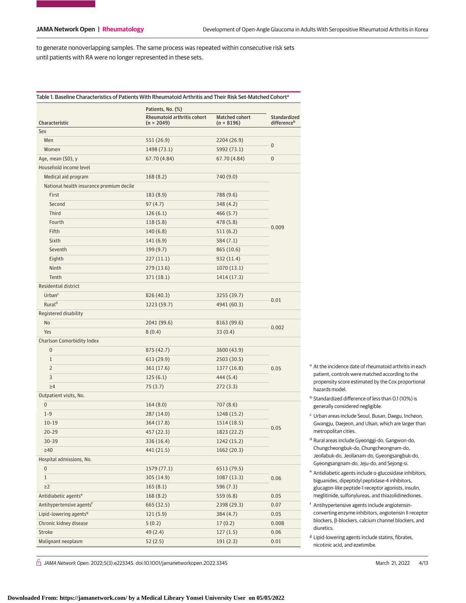to generate nonoverlapping samples. The same process was repeated within consecutive risk sets until patients with RA were no longer represented in these sets.

|                                          | Patients, No. (%)           |                       |                         |  |
|------------------------------------------|-----------------------------|-----------------------|-------------------------|--|
|                                          | Rheumatoid arthritis cohort | <b>Matched cohort</b> | <b>Standardized</b>     |  |
| Characteristic<br>Sex                    | $(n = 2049)$                | (n = 8196)            | difference <sup>b</sup> |  |
| Men                                      | 551 (26.9)                  | 2204 (26.9)           |                         |  |
| Women                                    | 1498 (73.1)                 | 5992 (73.1)           | $\pmb{0}$               |  |
| Age, mean (SD), y                        | 67.70 (4.84)                | 67.70 (4.84)          | $\bf{0}$                |  |
| Household income level                   |                             |                       |                         |  |
| Medical aid program                      | 168 (8.2)                   | 740 (9.0)             |                         |  |
| National health insurance premium decile |                             |                       |                         |  |
| First                                    | 183 (8.9)                   | 788 (9.6)             |                         |  |
| Second                                   | 97 (4.7)                    | 348 (4.2)             |                         |  |
| Third                                    | 126(6.1)                    | 466 (5.7)             |                         |  |
| Fourth                                   | 118 (5.8)                   | 478 (5.8)             |                         |  |
| Fifth                                    | 140 (6.8)                   | 511 (6.2)             | 0.009                   |  |
| Sixth                                    | 141 (6.9)                   | 584 (7.1)             |                         |  |
| Seventh                                  | 199(9.7)                    | 865 (10.6)            |                         |  |
| Eighth                                   | 227(11.1)                   | 932 (11.4)            |                         |  |
| Ninth                                    | 279 (13.6)                  | 1070(13.1)            |                         |  |
| Tenth                                    |                             |                       |                         |  |
| Residential district                     | 371 (18.1)                  | 1414 (17.3)           |                         |  |
|                                          |                             |                       |                         |  |
| Urban <sup>c</sup><br>Rural <sup>d</sup> | 826 (40.3)                  | 3255 (39.7)           | 0.01                    |  |
|                                          | 1223 (59.7)                 | 4941 (60.3)           |                         |  |
| Registered disability                    |                             |                       |                         |  |
| No                                       | 2041 (99.6)                 | 8163 (99.6)           | 0.002                   |  |
| Yes                                      | 8(0.4)                      | 33(0.4)               |                         |  |
| Charlson Comorbidity Index               |                             |                       |                         |  |
| $\boldsymbol{0}$                         | 875 (42.7)                  | 3600 (43.9)           |                         |  |
| $\mathbf 1$                              | 613 (29.9)                  | 2503 (30.5)           |                         |  |
| $\overline{2}$                           | 361 (17.6)                  | 1377 (16.8)           | 0.05                    |  |
| 3                                        | 125(6.1)                    | 444 (5.4)             |                         |  |
| $\geq 4$                                 | 75 (3.7)                    | 272 (3.3)             |                         |  |
| Outpatient visits, No.                   |                             |                       |                         |  |
| 0                                        | 164(8.0)                    | 707 (8.6)             |                         |  |
| $1 - 9$                                  | 287 (14.0)                  | 1248 (15.2)           |                         |  |
| $10 - 19$                                | 364 (17.8)                  | 1514 (18.5)           | 0.05                    |  |
| $20 - 29$                                | 457 (22.3)                  | 1823 (22.2)           |                         |  |
| $30 - 39$                                | 336 (16.4)                  | 1242 (15.2)           |                         |  |
| $\geq 40$                                | 441 (21.5)                  | 1662 (20.3)           |                         |  |
| Hospital admissions, No.                 |                             |                       |                         |  |
| 0                                        | 1579 (77.1)                 | 6513 (79.5)           |                         |  |
| $\mathbf{1}$                             | 305 (14.9)                  | 1087(13.3)            | 0.06                    |  |
| $\geq$ 2                                 | 165(8.1)                    | 596 (7.3)             |                         |  |
| Antidiabetic agents <sup>e</sup>         | 168 (8.2)                   | 559 (6.8)             | 0.05                    |  |
| Antihypertensive agents <sup>f</sup>     | 665 (32.5)                  | 2398 (29.3)           | 0.07                    |  |
| Lipid-lowering agents <sup>9</sup>       | 121(5.9)                    | 384 (4.7)             | 0.05                    |  |
| Chronic kidney disease                   | 5(0.2)                      | 17(0.2)               | 0.008                   |  |
| Stroke                                   | 49 (2.4)                    | 127(1.5)              | 0.06                    |  |
| Malignant neoplasm                       | 52(2.5)                     | 191(2.3)              | 0.01                    |  |

- <sup>a</sup> At the incidence date of rheumatoid arthritis in each patient, controls were matched according to the propensity score estimated by the Cox proportional hazards model.
- <sup>b</sup> Standardized difference of less than 0.1 (10%) is generally considered negligible.
- <sup>c</sup> Urban areas include Seoul, Busan, Daegu, Incheon, Gwangju, Daejeon, and Ulsan, which are larger than metropolitan cities.
- <sup>d</sup> Rural areas include Gyeonggi-do, Gangwon-do, Chungcheongbuk-do, Chungcheongnam-do, Jeollabuk-do, Jeollanam-do, Gyeongsangbuk-do, Gyeongsangnam-do, Jeju-do, and Sejong-si.
- <sup>e</sup> Antidiabetic agents include α-glucosidase inhibitors, biguanides, dipeptidyl peptidase-4 inhibitors, glucagon-like peptide-1 receptor agonists, insulin, meglitinide, sulfonylureas, and thiazolidinediones.
- <sup>f</sup> Antihypertensive agents include angiotensinconverting enzyme inhibitors, angiotensin II receptor blockers, β-blockers, calcium channel blockers, and diuretics.
- <sup>g</sup> Lipid-lowering agents include statins, fibrates, nicotinic acid, and ezetimibe.

 $\bigcap$  JAMA Network Open. 2022;5(3):e223345. doi:10.1001/jamanetworkopen.2022.3345 (Reprinted) March 21, 2022 4/13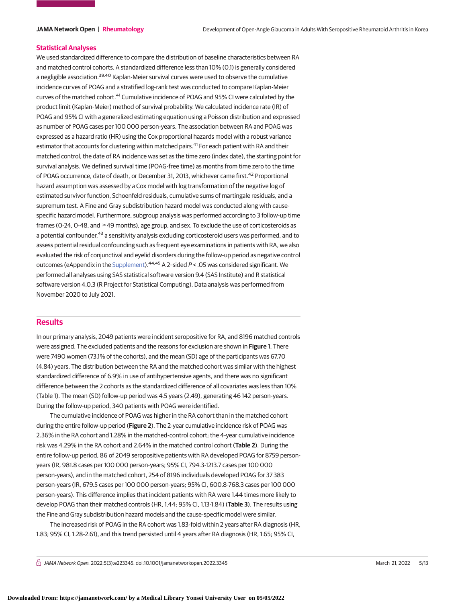#### **Statistical Analyses**

We used standardized difference to compare the distribution of baseline characteristics between RA and matched control cohorts. A standardized difference less than 10% (0.1) is generally considered a negligible association.<sup>39,40</sup> Kaplan-Meier survival curves were used to observe the cumulative incidence curves of POAG and a stratified log-rank test was conducted to compare Kaplan-Meier curves of the matched cohort.<sup>41</sup> Cumulative incidence of POAG and 95% CI were calculated by the product limit (Kaplan-Meier) method of survival probability. We calculated incidence rate (IR) of POAG and 95% CI with a generalized estimating equation using a Poisson distribution and expressed as number of POAG cases per 100 000 person-years. The association between RA and POAG was expressed as a hazard ratio (HR) using the Cox proportional hazards model with a robust variance estimator that accounts for clustering within matched pairs.<sup>41</sup> For each patient with RA and their matched control, the date of RA incidence was set as the time zero (index date), the starting point for survival analysis. We defined survival time (POAG-free time) as months from time zero to the time of POAG occurrence, date of death, or December 31, 2013, whichever came first.<sup>42</sup> Proportional hazard assumption was assessed by a Cox model with log transformation of the negative log of estimated survivor function, Schoenfeld residuals, cumulative sums of martingale residuals, and a supremum test. A Fine and Gray subdistribution hazard model was conducted along with causespecific hazard model. Furthermore, subgroup analysis was performed according to 3 follow-up time frames (0-24, 0-48, and  $\geq$ 49 months), age group, and sex. To exclude the use of corticosteroids as a potential confounder,<sup>43</sup> a sensitivity analysis excluding corticosteroid users was performed, and to assess potential residual confounding such as frequent eye examinations in patients with RA, we also evaluated the risk of conjunctival and eyelid disorders during the follow-up period as negative control outcomes (eAppendix in the [Supplement\)](https://jama.jamanetwork.com/article.aspx?doi=10.1001/jamanetworkopen.2022.3345&utm_campaign=articlePDF%26utm_medium=articlePDFlink%26utm_source=articlePDF%26utm_content=jamanetworkopen.2022.3345).<sup>44,45</sup> A 2-sided  $P < 05$  was considered significant. We performed all analyses using SAS statistical software version 9.4 (SAS Institute) and R statistical software version 4.0.3 (R Project for Statistical Computing). Data analysis was performed from November 2020 to July 2021.

## **Results**

In our primary analysis, 2049 patients were incident seropositive for RA, and 8196 matched controls were assigned. The excluded patients and the reasons for exclusion are shown in **Figure 1**. There were 7490 women (73.1% of the cohorts), and the mean (SD) age of the participants was 67.70 (4.84) years. The distribution between the RA and the matched cohort was similar with the highest standardized difference of 6.9% in use of antihypertensive agents, and there was no significant difference between the 2 cohorts as the standardized difference of all covariates was less than 10% (Table 1). The mean (SD) follow-up period was 4.5 years (2.49), generating 46 142 person-years. During the follow-up period, 340 patients with POAG were identified.

The cumulative incidence of POAG was higher in the RA cohort than in the matched cohort during the entire follow-up period (**Figure 2**). The 2-year cumulative incidence risk of POAG was 2.36% in the RA cohort and 1.28% in the matched-control cohort; the 4-year cumulative incidence risk was 4.29% in the RA cohort and 2.64% in the matched control cohort (**Table 2**). During the entire follow-up period, 86 of 2049 seropositive patients with RA developed POAG for 8759 personyears (IR, 981.8 cases per 100 000 person-years; 95% CI, 794.3-1213.7 cases per 100 000 person-years), and in the matched cohort, 254 of 8196 individuals developed POAG for 37 383 person-years (IR, 679.5 cases per 100 000 person-years; 95% CI, 600.8-768.3 cases per 100 000 person-years). This difference implies that incident patients with RA were 1.44 times more likely to develop POAG than their matched controls (HR, 1.44; 95% CI, 1.13-1.84) (**Table 3**). The results using the Fine and Gray subdistribution hazard models and the cause-specific model were similar.

The increased risk of POAG in the RA cohort was 1.83-fold within 2 years after RA diagnosis (HR, 1.83; 95% CI, 1.28-2.61), and this trend persisted until 4 years after RA diagnosis (HR, 1.65; 95% CI,

 $\bigcap$  JAMA Network Open. 2022;5(3):e223345. doi:10.1001/jamanetworkopen.2022.3345 (Reprinted) March 21, 2022 5/13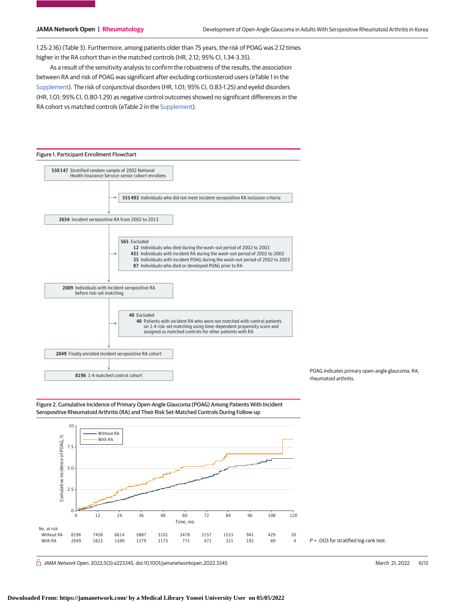1.25-2.16) (Table 3). Furthermore, among patients older than 75 years, the risk of POAG was 2.12 times higher in the RA cohort than in the matched controls (HR, 2.12; 95% CI, 1.34-3.35).

As a result of the sensitivity analysis to confirm the robustness of the results, the association between RA and risk of POAG was significant after excluding corticosteroid users (eTable 1 in the [Supplement\)](https://jama.jamanetwork.com/article.aspx?doi=10.1001/jamanetworkopen.2022.3345&utm_campaign=articlePDF%26utm_medium=articlePDFlink%26utm_source=articlePDF%26utm_content=jamanetworkopen.2022.3345). The risk of conjunctival disorders (HR, 1.01; 95% CI, 0.83-1.25) and eyelid disorders (HR, 1.01; 95% CI, 0.80-1.29) as negative control outcomes showed no significant differences in the RA cohort vs matched controls (eTable 2 in the [Supplement\)](https://jama.jamanetwork.com/article.aspx?doi=10.1001/jamanetworkopen.2022.3345&utm_campaign=articlePDF%26utm_medium=articlePDFlink%26utm_source=articlePDF%26utm_content=jamanetworkopen.2022.3345).



POAG indicates primary open-angle glaucoma; RA, rheumatoid arthritis.





 $\bigcap$  JAMA Network Open. 2022;5(3):e223345. doi:10.1001/jamanetworkopen.2022.3345 (Reprinted) March 21, 2022 6/13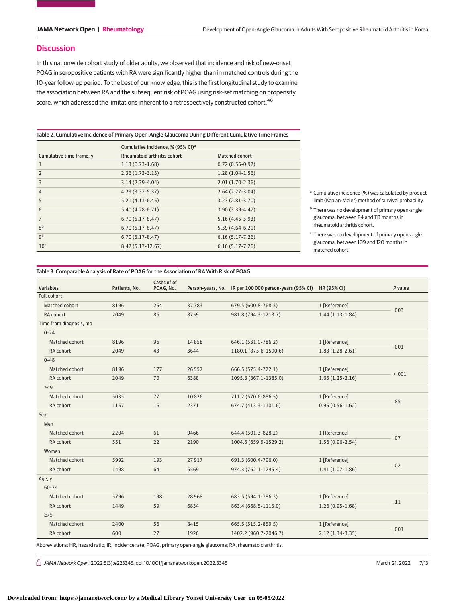### **Discussion**

In this nationwide cohort study of older adults, we observed that incidence and risk of new-onset POAG in seropositive patients with RA were significantly higher than in matched controls during the 10-year follow-up period. To the best of our knowledge, this is the first longitudinal study to examine the association between RA and the subsequent risk of POAG using risk-set matching on propensity score, which addressed the limitations inherent to a retrospectively constructed cohort.<sup>46</sup>

Table 2. Cumulative Incidence of Primary Open-Angle Glaucoma During Different Cumulative Time Frames

|                          | Cumulative incidence, % (95% CI) <sup>a</sup> |                       |                                                                 |  |  |
|--------------------------|-----------------------------------------------|-----------------------|-----------------------------------------------------------------|--|--|
| Cumulative time frame, y | <b>Rheumatoid arthritis cohort</b>            | <b>Matched cohort</b> |                                                                 |  |  |
|                          | $1.13(0.73-1.68)$                             | $0.72(0.55-0.92)$     |                                                                 |  |  |
| $\overline{2}$           | $2.36(1.73-3.13)$                             | $1.28(1.04-1.56)$     |                                                                 |  |  |
| 3                        | $3.14(2.39-4.04)$                             | $2.01(1.70-2.36)$     |                                                                 |  |  |
| $\overline{4}$           | $4.29(3.37-5.37)$                             | $2.64(2.27-3.04)$     | <sup>a</sup> Cumulative incidence (%) was calculated by product |  |  |
| 5                        | $5.21(4.13-6.45)$                             | $3.23(2.81-3.70)$     | limit (Kaplan-Meier) method of survival probability.            |  |  |
| 6                        | $5.40(4.28-6.71)$                             | $3.90(3.39-4.47)$     | <sup>b</sup> There was no development of primary open-angle     |  |  |
| $\overline{7}$           | $6.70(5.17-8.47)$                             | $5.16(4.45-5.93)$     | glaucoma; between 84 and 113 months in                          |  |  |
| 8 <sup>b</sup>           | $6.70(5.17-8.47)$                             | $5.39(4.64-6.21)$     | rheumatoid arthritis cohort.                                    |  |  |
| qb                       | $6.70(5.17 - 8.47)$                           | $6.16(5.17 - 7.26)$   | <sup>c</sup> There was no development of primary open-angle     |  |  |
| 10 <sup>c</sup>          | $8.42(5.17-12.67)$                            | $6.16(5.17-7.26)$     | glaucoma; between 109 and 120 months in<br>matched cohort.      |  |  |

### Table 3. Comparable Analysis of Rate of POAG for the Association of RA With Risk of POAG

|                         |               | Cases of of |          |                                                        |                     |         |  |
|-------------------------|---------------|-------------|----------|--------------------------------------------------------|---------------------|---------|--|
| <b>Variables</b>        | Patients, No. | POAG, No.   |          | Person-years, No. IR per 100 000 person-years (95% CI) | HR (95% CI)         | P value |  |
| <b>Full cohort</b>      |               |             |          |                                                        |                     |         |  |
| Matched cohort          | 8196          | 254         | 37 38 3  | 679.5 (600.8-768.3)                                    | 1 [Reference]       | .003    |  |
| RA cohort               | 2049          | 86          | 8759     | 981.8 (794.3-1213.7)                                   | $1.44(1.13-1.84)$   |         |  |
| Time from diagnosis, mo |               |             |          |                                                        |                     |         |  |
| $0 - 24$                |               |             |          |                                                        |                     |         |  |
| Matched cohort          | 8196          | 96          | 14858    | 646.1 (531.0-786.2)                                    | 1 [Reference]       |         |  |
| RA cohort               | 2049          | 43          | 3644     | 1180.1 (875.6-1590.6)                                  | $1.83(1.28-2.61)$   | .001    |  |
| $0 - 48$                |               |             |          |                                                        |                     |         |  |
| Matched cohort          | 8196          | 177         | 26 5 5 7 | 666.5 (575.4-772.1)                                    | 1 [Reference]       |         |  |
| RA cohort               | 2049          | 70          | 6388     | 1095.8 (867.1-1385.0)                                  | $1.65(1.25-2.16)$   | < .001  |  |
| $\geq 49$               |               |             |          |                                                        |                     |         |  |
| Matched cohort          | 5035          | 77          | 10826    | 711.2 (570.6-886.5)                                    | 1 [Reference]       | .85     |  |
| RA cohort               | 1157          | 16          | 2371     | 674.7 (413.3-1101.6)                                   | $0.95(0.56 - 1.62)$ |         |  |
| Sex                     |               |             |          |                                                        |                     |         |  |
| Men                     |               |             |          |                                                        |                     |         |  |
| Matched cohort          | 2204          | 61          | 9466     | 644.4 (501.3-828.2)                                    | 1 [Reference]       |         |  |
| RA cohort               | 551           | 22          | 2190     | 1004.6 (659.9-1529.2)                                  | $1.56(0.96 - 2.54)$ | .07     |  |
| Women                   |               |             |          |                                                        |                     |         |  |
| Matched cohort          | 5992          | 193         | 27917    | 691.3 (600.4-796.0)                                    | 1 [Reference]       |         |  |
| RA cohort               | 1498          | 64          | 6569     | 974.3 (762.1-1245.4)                                   | $1.41(1.07-1.86)$   | .02     |  |
| Age, y                  |               |             |          |                                                        |                     |         |  |
| 60-74                   |               |             |          |                                                        |                     |         |  |
| Matched cohort          | 5796          | 198         | 28968    | 683.5 (594.1-786.3)                                    | 1 [Reference]       |         |  |
| RA cohort               | 1449          | 59          | 6834     | 863.4 (668.5-1115.0)                                   | $1.26(0.95-1.68)$   | .11     |  |
| $\geq$ 75               |               |             |          |                                                        |                     |         |  |
| Matched cohort          | 2400          | 56          | 8415     | 665.5 (515.2-859.5)                                    | 1 [Reference]       | .001    |  |
| RA cohort               | 600           | 27          | 1926     | 1402.2 (960.7-2046.7)                                  | $2.12(1.34-3.35)$   |         |  |

Abbreviations: HR, hazard ratio; IR, incidence rate; POAG, primary open-angle glaucoma; RA, rheumatoid arthritis.

 $\stackrel{\frown}{\Box}$  JAMA Network Open. 2022;5(3):e223345. doi:10.1001/jamanetworkopen.2022.3345 (Reprinted) March 21, 2022 7/13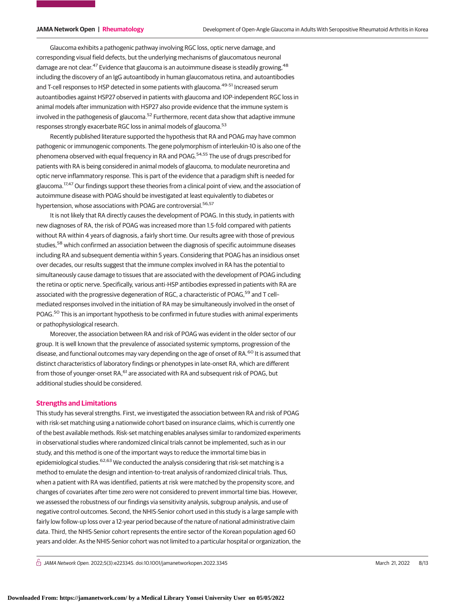Glaucoma exhibits a pathogenic pathway involving RGC loss, optic nerve damage, and corresponding visual field defects, but the underlying mechanisms of glaucomatous neuronal damage are not clear.<sup>47</sup> Evidence that glaucoma is an autoimmune disease is steadily growing,<sup>48</sup> including the discovery of an IgG autoantibody in human glaucomatous retina, and autoantibodies and T-cell responses to HSP detected in some patients with glaucoma.<sup>49-51</sup> Increased serum autoantibodies against HSP27 observed in patients with glaucoma and IOP-independent RGC loss in animal models after immunization with HSP27 also provide evidence that the immune system is involved in the pathogenesis of glaucoma.<sup>52</sup> Furthermore, recent data show that adaptive immune responses strongly exacerbate RGC loss in animal models of glaucoma.<sup>53</sup>

Recently published literature supported the hypothesis that RA and POAG may have common pathogenic or immunogenic components. The gene polymorphism of interleukin-10 is also one of the phenomena observed with equal frequency in RA and POAG.54,55 The use of drugs prescribed for patients with RA is being considered in animal models of glaucoma, to modulate neuroretina and optic nerve inflammatory response. This is part of the evidence that a paradigm shift is needed for glaucoma.<sup>17,47</sup> Our findings support these theories from a clinical point of view, and the association of autoimmune disease with POAG should be investigated at least equivalently to diabetes or hypertension, whose associations with POAG are controversial.<sup>56,57</sup>

It is not likely that RA directly causes the development of POAG. In this study, in patients with new diagnoses of RA, the risk of POAG was increased more than 1.5-fold compared with patients without RA within 4 years of diagnosis, a fairly short time. Our results agree with those of previous studies,<sup>58</sup> which confirmed an association between the diagnosis of specific autoimmune diseases including RA and subsequent dementia within 5 years. Considering that POAG has an insidious onset over decades, our results suggest that the immune complex involved in RA has the potential to simultaneously cause damage to tissues that are associated with the development of POAG including the retina or optic nerve. Specifically, various anti-HSP antibodies expressed in patients with RA are associated with the progressive degeneration of RGC, a characteristic of POAG,<sup>59</sup> and T cellmediated responses involved in the initiation of RA may be simultaneously involved in the onset of POAG.<sup>50</sup> This is an important hypothesis to be confirmed in future studies with animal experiments or pathophysiological research.

Moreover, the association between RA and risk of POAG was evident in the older sector of our group. It is well known that the prevalence of associated systemic symptoms, progression of the disease, and functional outcomes may vary depending on the age of onset of RA.<sup>60</sup> It is assumed that distinct characteristics of laboratory findings or phenotypes in late-onset RA, which are different from those of younger-onset RA, <sup>61</sup> are associated with RA and subsequent risk of POAG, but additional studies should be considered.

### **Strengths and Limitations**

This study has several strengths. First, we investigated the association between RA and risk of POAG with risk-set matching using a nationwide cohort based on insurance claims, which is currently one of the best available methods. Risk-set matching enables analyses similar to randomized experiments in observational studies where randomized clinical trials cannot be implemented, such as in our study, and this method is one of the important ways to reduce the immortal time bias in epidemiological studies.<sup>62,63</sup> We conducted the analysis considering that risk-set matching is a method to emulate the design and intention-to-treat analysis of randomized clinical trials. Thus, when a patient with RA was identified, patients at risk were matched by the propensity score, and changes of covariates after time zero were not considered to prevent immortal time bias. However, we assessed the robustness of our findings via sensitivity analysis, subgroup analysis, and use of negative control outcomes. Second, the NHIS-Senior cohort used in this study is a large sample with fairly low follow-up loss over a 12-year period because of the nature of national administrative claim data. Third, the NHIS-Senior cohort represents the entire sector of the Korean population aged 60 years and older. As the NHIS-Senior cohort was not limited to a particular hospital or organization, the

 $\bigcap$  JAMA Network Open. 2022;5(3):e223345. doi:10.1001/jamanetworkopen.2022.3345 (Reprinted) March 21, 2022 8/13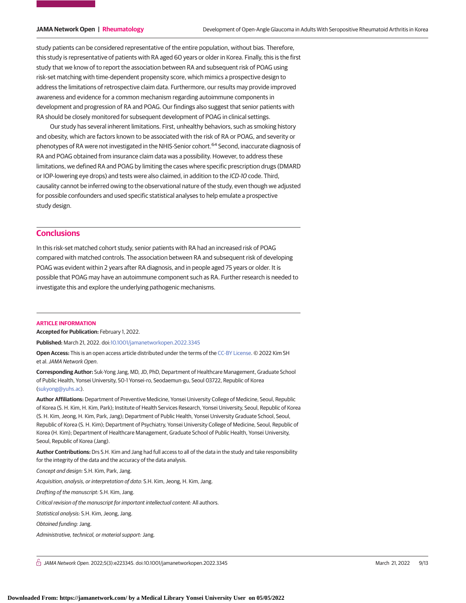study patients can be considered representative of the entire population, without bias. Therefore, this study is representative of patients with RA aged 60 years or older in Korea. Finally, this is the first study that we know of to report the association between RA and subsequent risk of POAG using risk-set matching with time-dependent propensity score, which mimics a prospective design to address the limitations of retrospective claim data. Furthermore, our results may provide improved awareness and evidence for a common mechanism regarding autoimmune components in development and progression of RA and POAG. Our findings also suggest that senior patients with RA should be closely monitored for subsequent development of POAG in clinical settings.

Our study has several inherent limitations. First, unhealthy behaviors, such as smoking history and obesity, which are factors known to be associated with the risk of RA or POAG, and severity or phenotypes of RA were not investigated in the NHIS-Senior cohort.<sup>64</sup> Second, inaccurate diagnosis of RA and POAG obtained from insurance claim data was a possibility. However, to address these limitations, we defined RA and POAG by limiting the cases where specific prescription drugs (DMARD or IOP-lowering eye drops) and tests were also claimed, in addition to the ICD-10 code. Third, causality cannot be inferred owing to the observational nature of the study, even though we adjusted for possible confounders and used specific statistical analyses to help emulate a prospective study design.

## **Conclusions**

In this risk-set matched cohort study, senior patients with RA had an increased risk of POAG compared with matched controls. The association between RA and subsequent risk of developing POAG was evident within 2 years after RA diagnosis, and in people aged 75 years or older. It is possible that POAG may have an autoimmune component such as RA. Further research is needed to investigate this and explore the underlying pathogenic mechanisms.

#### **ARTICLE INFORMATION**

**Accepted for Publication:** February 1, 2022.

**Published:** March 21, 2022. doi[:10.1001/jamanetworkopen.2022.3345](https://jama.jamanetwork.com/article.aspx?doi=10.1001/jamanetworkopen.2022.3345&utm_campaign=articlePDF%26utm_medium=articlePDFlink%26utm_source=articlePDF%26utm_content=jamanetworkopen.2022.3345)

**Open Access:** This is an open access article distributed under the terms of the [CC-BY License.](https://jamanetwork.com/pages/cc-by-license-permissions/?utm_campaign=articlePDF%26utm_medium=articlePDFlink%26utm_source=articlePDF%26utm_content=jamanetworkopen.2022.3345) © 2022 Kim SH et al.JAMA Network Open.

**Corresponding Author:** Suk-Yong Jang, MD, JD, PhD, Department of Healthcare Management, Graduate School of Public Health, Yonsei University, 50-1 Yonsei-ro, Seodaemun-gu, Seoul 03722, Republic of Korea [\(sukyong@yuhs.ac\)](mailto:sukyong@yuhs.ac).

**Author Affiliations:** Department of Preventive Medicine, Yonsei University College of Medicine, Seoul, Republic of Korea (S. H. Kim, H. Kim, Park); Institute of Health Services Research, Yonsei University, Seoul, Republic of Korea (S. H. Kim, Jeong, H. Kim, Park, Jang); Department of Public Health, Yonsei University Graduate School, Seoul, Republic of Korea (S. H. Kim); Department of Psychiatry, Yonsei University College of Medicine, Seoul, Republic of Korea (H. Kim); Department of Healthcare Management, Graduate School of Public Health, Yonsei University, Seoul, Republic of Korea (Jang).

**Author Contributions:** Drs S.H. Kim and Jang had full access to all of the data in the study and take responsibility for the integrity of the data and the accuracy of the data analysis.

Concept and design: S.H. Kim, Park, Jang.

Acquisition, analysis, or interpretation of data: S.H. Kim, Jeong, H. Kim, Jang.

Drafting of the manuscript: S.H. Kim, Jang.

Critical revision of the manuscript for important intellectual content: All authors.

Statistical analysis: S.H. Kim, Jeong, Jang.

Obtained funding: Jang.

Administrative, technical, or material support: Jang.

 $\bigcap$  JAMA Network Open. 2022;5(3):e223345. doi:10.1001/jamanetworkopen.2022.3345 (Reprinted) March 21, 2022 9/13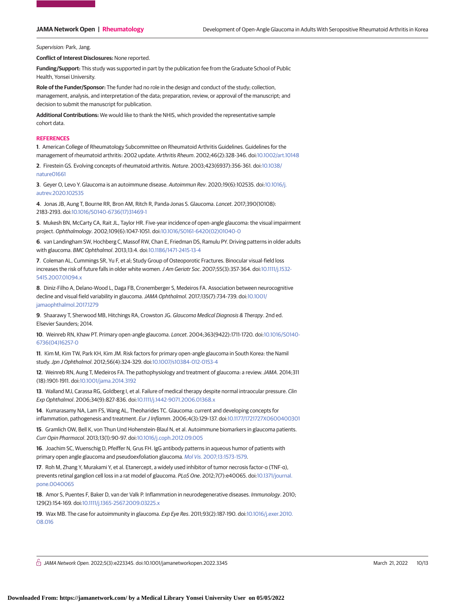Supervision: Park, Jang.

**Conflict of Interest Disclosures:** None reported.

**Funding/Support:** This study was supported in part by the publication fee from the Graduate School of Public Health, Yonsei University.

**Role of the Funder/Sponsor:** The funder had no role in the design and conduct of the study; collection, management, analysis, and interpretation of the data; preparation, review, or approval of the manuscript; and decision to submit the manuscript for publication.

**Additional Contributions:** We would like to thank the NHIS, which provided the representative sample cohort data.

#### **REFERENCES**

**1**. American College of Rheumatology Subcommittee on Rheumatoid Arthritis Guidelines. Guidelines for the management of rheumatoid arthritis: 2002 update. Arthritis Rheum. 2002;46(2):328-346. doi[:10.1002/art.10148](https://dx.doi.org/10.1002/art.10148)

**2**. Firestein GS. Evolving concepts of rheumatoid arthritis. Nature. 2003;423(6937):356-361. doi[:10.1038/](https://dx.doi.org/10.1038/nature01661) [nature01661](https://dx.doi.org/10.1038/nature01661)

**3**. Geyer O, Levo Y. Glaucoma is an autoimmune disease. Autoimmun Rev. 2020;19(6):102535. doi[:10.1016/j.](https://dx.doi.org/10.1016/j.autrev.2020.102535) [autrev.2020.102535](https://dx.doi.org/10.1016/j.autrev.2020.102535)

**4**. Jonas JB, Aung T, Bourne RR, Bron AM, Ritch R, Panda-Jonas S. Glaucoma. Lancet. 2017;390(10108): 2183-2193. doi[:10.1016/S0140-6736\(17\)31469-1](https://dx.doi.org/10.1016/S0140-6736(17)31469-1)

**5**. Mukesh BN, McCarty CA, Rait JL, Taylor HR. Five-year incidence of open-angle glaucoma: the visual impairment project. Ophthalmology. 2002;109(6):1047-1051. doi[:10.1016/S0161-6420\(02\)01040-0](https://dx.doi.org/10.1016/S0161-6420(02)01040-0)

**6**. van Landingham SW, Hochberg C, Massof RW, Chan E, Friedman DS, Ramulu PY. Driving patterns in older adults with glaucoma. BMC Ophthalmol. 2013;13:4. doi[:10.1186/1471-2415-13-4](https://dx.doi.org/10.1186/1471-2415-13-4)

**7**. Coleman AL, Cummings SR, Yu F, et al; Study Group of Osteoporotic Fractures. Binocular visual-field loss increases the risk of future falls in older white women. J Am Geriatr Soc. 2007;55(3):357-364. doi[:10.1111/j.1532-](https://dx.doi.org/10.1111/j.1532-5415.2007.01094.x) [5415.2007.01094.x](https://dx.doi.org/10.1111/j.1532-5415.2007.01094.x)

**8**. Diniz-Filho A, Delano-Wood L, Daga FB, Cronemberger S, Medeiros FA. Association between neurocognitive decline and visual field variability in glaucoma.JAMA Ophthalmol. 2017;135(7):734-739. doi[:10.1001/](https://jama.jamanetwork.com/article.aspx?doi=10.1001/jamaophthalmol.2017.1279&utm_campaign=articlePDF%26utm_medium=articlePDFlink%26utm_source=articlePDF%26utm_content=jamanetworkopen.2022.3345) [jamaophthalmol.2017.1279](https://jama.jamanetwork.com/article.aspx?doi=10.1001/jamaophthalmol.2017.1279&utm_campaign=articlePDF%26utm_medium=articlePDFlink%26utm_source=articlePDF%26utm_content=jamanetworkopen.2022.3345)

**9**. Shaarawy T, Sherwood MB, Hitchings RA, Crowston JG. Glaucoma Medical Diagnosis & Therapy. 2nd ed. Elsevier Saunders; 2014.

**10**. Weinreb RN, Khaw PT. Primary open-angle glaucoma. Lancet. 2004;363(9422):1711-1720. doi[:10.1016/S0140-](https://dx.doi.org/10.1016/S0140-6736(04)16257-0) [6736\(04\)16257-0](https://dx.doi.org/10.1016/S0140-6736(04)16257-0)

**11**. Kim M, Kim TW, Park KH, Kim JM. Risk factors for primary open-angle glaucoma in South Korea: the Namil study.Jpn J Ophthalmol. 2012;56(4):324-329. doi[:10.1007/s10384-012-0153-4](https://dx.doi.org/10.1007/s10384-012-0153-4)

**12**. Weinreb RN, Aung T, Medeiros FA. The pathophysiology and treatment of glaucoma: a review.JAMA. 2014;311 (18):1901-1911. doi[:10.1001/jama.2014.3192](https://jama.jamanetwork.com/article.aspx?doi=10.1001/jama.2014.3192&utm_campaign=articlePDF%26utm_medium=articlePDFlink%26utm_source=articlePDF%26utm_content=jamanetworkopen.2022.3345)

**13**. Walland MJ, Carassa RG, Goldberg I, et al. Failure of medical therapy despite normal intraocular pressure. Clin Exp Ophthalmol. 2006;34(9):827-836. doi[:10.1111/j.1442-9071.2006.01368.x](https://dx.doi.org/10.1111/j.1442-9071.2006.01368.x)

**14**. Kumarasamy NA, Lam FS, Wang AL, Theoharides TC. Glaucoma: current and developing concepts for inflammation, pathogenesis and treatment. Eur J Inflamm. 2006;4(3):129-137. doi[:10.1177/1721727X0600400301](https://dx.doi.org/10.1177/1721727X0600400301)

**15**. Gramlich OW, Bell K, von Thun Und Hohenstein-Blaul N, et al. Autoimmune biomarkers in glaucoma patients. Curr Opin Pharmacol. 2013;13(1):90-97. doi[:10.1016/j.coph.2012.09.005](https://dx.doi.org/10.1016/j.coph.2012.09.005)

**16**. Joachim SC, Wuenschig D, Pfeiffer N, Grus FH. IgG antibody patterns in aqueous humor of patients with primary open angle glaucoma and pseudoexfoliation glaucoma. Mol Vis[. 2007;13:1573-1579.](https://www.ncbi.nlm.nih.gov/pubmed/17893658)

**17**. Roh M, Zhang Y, Murakami Y, et al. Etanercept, a widely used inhibitor of tumor necrosis factor-α (TNF-α), prevents retinal ganglion cell loss in a rat model of glaucoma. PLoS One. 2012;7(7):e40065. doi[:10.1371/journal.](https://dx.doi.org/10.1371/journal.pone.0040065) [pone.0040065](https://dx.doi.org/10.1371/journal.pone.0040065)

**18**. Amor S, Puentes F, Baker D, van der Valk P. Inflammation in neurodegenerative diseases. Immunology. 2010; 129(2):154-169. doi[:10.1111/j.1365-2567.2009.03225.x](https://dx.doi.org/10.1111/j.1365-2567.2009.03225.x)

**19**. Wax MB. The case for autoimmunity in glaucoma. Exp Eye Res. 2011;93(2):187-190. doi[:10.1016/j.exer.2010.](https://dx.doi.org/10.1016/j.exer.2010.08.016) [08.016](https://dx.doi.org/10.1016/j.exer.2010.08.016)

 $\stackrel{\frown}{\cap}$  JAMA Network Open. 2022;5(3):e223345. doi:10.1001/jamanetworkopen.2022.3345 (Reprinted) March 21, 2022 10/13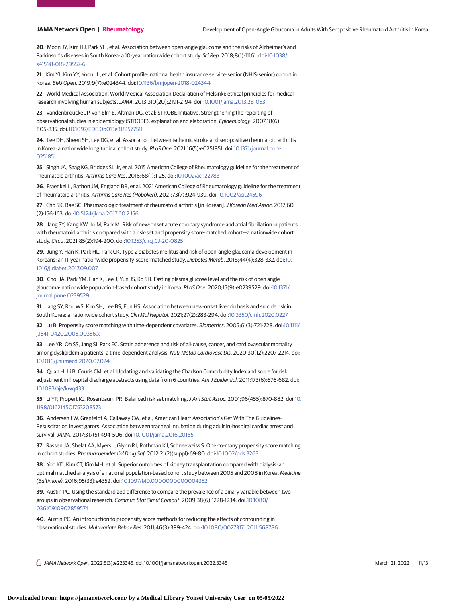**20**. Moon JY, Kim HJ, Park YH, et al. Association between open-angle glaucoma and the risks of Alzheimer's and Parkinson's diseases in South Korea: a 10-year nationwide cohort study. Sci Rep. 2018;8(1):11161. doi[:10.1038/](https://dx.doi.org/10.1038/s41598-018-29557-6) [s41598-018-29557-6](https://dx.doi.org/10.1038/s41598-018-29557-6)

**21**. Kim YI, Kim YY, Yoon JL, et al. Cohort profile: national health insurance service-senior (NHIS-senior) cohort in Korea. BMJ Open. 2019;9(7):e024344. doi[:10.1136/bmjopen-2018-024344](https://dx.doi.org/10.1136/bmjopen-2018-024344)

**22**. World Medical Association. World Medical Association Declaration of Helsinki: ethical principles for medical research involving human subjects.JAMA. 2013;310(20):2191-2194. doi[:10.1001/jama.2013.281053.](https://jama.jamanetwork.com/article.aspx?doi=10.1001/jama.2013.281053&utm_campaign=articlePDF%26utm_medium=articlePDFlink%26utm_source=articlePDF%26utm_content=jamanetworkopen.2022.3345)

**23**. Vandenbroucke JP, von Elm E, Altman DG, et al; STROBE Initiative. Strengthening the reporting of observational studies in epidemiology (STROBE): explanation and elaboration. Epidemiology. 2007;18(6): 805-835. doi[:10.1097/EDE.0b013e3181577511](https://dx.doi.org/10.1097/EDE.0b013e3181577511)

**24**. Lee DH, Sheen SH, Lee DG, et al. Association between ischemic stroke and seropositive rheumatoid arthritis in Korea: a nationwide longitudinal cohort study. PLoS One. 2021;16(5):e0251851. doi[:10.1371/journal.pone.](https://dx.doi.org/10.1371/journal.pone.0251851) [0251851](https://dx.doi.org/10.1371/journal.pone.0251851)

**25**. Singh JA, Saag KG, Bridges SL Jr, et al. 2015 American College of Rheumatology guideline for the treatment of rheumatoid arthritis. Arthritis Care Res. 2016;68(1):1-25. doi[:10.1002/acr.22783](https://dx.doi.org/10.1002/acr.22783)

**26**. Fraenkel L, Bathon JM, England BR, et al. 2021 American College of Rheumatology guideline for the treatment of rheumatoid arthritis. Arthritis Care Res (Hoboken). 2021;73(7):924-939. doi[:10.1002/acr.24596](https://dx.doi.org/10.1002/acr.24596)

**27**. Cho SK, Bae SC. Pharmacologic treatment of rheumatoid arthritis [in Korean].J Korean Med Assoc. 2017;60 (2):156-163. doi[:10.5124/jkma.2017.60.2.156](https://dx.doi.org/10.5124/jkma.2017.60.2.156)

**28**. Jang SY, Kang KW, Jo M, Park M. Risk of new-onset acute coronary syndrome and atrial fibrillation in patients with rheumatoid arthritis compared with a risk-set and propensity score-matched cohort—a nationwide cohort study. Circ J. 2021;85(2):194-200. doi[:10.1253/circj.CJ-20-0825](https://dx.doi.org/10.1253/circj.CJ-20-0825)

**29**. Jung Y, Han K, Park HL, Park CK. Type 2 diabetes mellitus and risk of open-angle glaucoma development in Koreans: an 11-year nationwide propensity-score-matched study. Diabetes Metab. 2018;44(4):328-332. doi[:10.](https://dx.doi.org/10.1016/j.diabet.2017.09.007) [1016/j.diabet.2017.09.007](https://dx.doi.org/10.1016/j.diabet.2017.09.007)

**30**. Choi JA, Park YM, Han K, Lee J, Yun JS, Ko SH. Fasting plasma glucose level and the risk of open angle glaucoma: nationwide population-based cohort study in Korea. PLoS One. 2020;15(9):e0239529. doi[:10.1371/](https://dx.doi.org/10.1371/journal.pone.0239529) [journal.pone.0239529](https://dx.doi.org/10.1371/journal.pone.0239529)

**31**. Jang SY, Rou WS, Kim SH, Lee BS, Eun HS. Association between new-onset liver cirrhosis and suicide risk in South Korea: a nationwide cohort study. Clin Mol Hepatol. 2021;27(2):283-294. doi[:10.3350/cmh.2020.0227](https://dx.doi.org/10.3350/cmh.2020.0227)

**32**. Lu B. Propensity score matching with time-dependent covariates. Biometrics. 2005;61(3):721-728. doi[:10.1111/](https://dx.doi.org/10.1111/j.1541-0420.2005.00356.x) [j.1541-0420.2005.00356.x](https://dx.doi.org/10.1111/j.1541-0420.2005.00356.x)

**33**. Lee YR, Oh SS, Jang SI, Park EC. Statin adherence and risk of all-cause, cancer, and cardiovascular mortality among dyslipidemia patients: a time-dependent analysis. Nutr Metab Cardiovasc Dis. 2020;30(12):2207-2214. doi: [10.1016/j.numecd.2020.07.024](https://dx.doi.org/10.1016/j.numecd.2020.07.024)

**34**. Quan H, Li B, Couris CM, et al. Updating and validating the Charlson Comorbidity Index and score for risk adjustment in hospital discharge abstracts using data from 6 countries. Am J Epidemiol. 2011;173(6):676-682. doi: [10.1093/aje/kwq433](https://dx.doi.org/10.1093/aje/kwq433)

**35**. Li YP, Propert KJ, Rosenbaum PR. Balanced risk set matching. J Am Stat Assoc. 2001;96(455):870-882. doi[:10.](https://dx.doi.org/10.1198/016214501753208573) [1198/016214501753208573](https://dx.doi.org/10.1198/016214501753208573)

**36**. Andersen LW, Granfeldt A, Callaway CW, et al; American Heart Association's Get With The Guidelines– Resuscitation Investigators. Association between tracheal intubation during adult in-hospital cardiac arrest and survival.JAMA. 2017;317(5):494-506. doi[:10.1001/jama.2016.20165](https://jama.jamanetwork.com/article.aspx?doi=10.1001/jama.2016.20165&utm_campaign=articlePDF%26utm_medium=articlePDFlink%26utm_source=articlePDF%26utm_content=jamanetworkopen.2022.3345)

**37**. Rassen JA, Shelat AA, Myers J, Glynn RJ, Rothman KJ, Schneeweiss S. One-to-many propensity score matching in cohort studies. Pharmacoepidemiol Drug Saf. 2012;21(2)(suppl):69-80. doi[:10.1002/pds.3263](https://dx.doi.org/10.1002/pds.3263)

**38**. Yoo KD, Kim CT, Kim MH, et al. Superior outcomes of kidney transplantation compared with dialysis: an optimal matched analysis of a national population-based cohort study between 2005 and 2008 in Korea. Medicine (Baltimore). 2016;95(33):e4352. doi[:10.1097/MD.0000000000004352](https://dx.doi.org/10.1097/MD.0000000000004352)

**39**. Austin PC. Using the standardized difference to compare the prevalence of a binary variable between two groups in observational research. Commun Stat Simul Comput. 2009;38(6):1228-1234. doi[:10.1080/](https://dx.doi.org/10.1080/03610910902859574) [03610910902859574](https://dx.doi.org/10.1080/03610910902859574)

**40**. Austin PC. An introduction to propensity score methods for reducing the effects of confounding in observational studies. Multivariate Behav Res. 2011;46(3):399-424. doi[:10.1080/00273171.2011.568786](https://dx.doi.org/10.1080/00273171.2011.568786)

 $\stackrel{\frown}{\cap}$  JAMA Network Open. 2022;5(3):e223345. doi:10.1001/jamanetworkopen.2022.3345 (Reprinted) March 21, 2022 11/13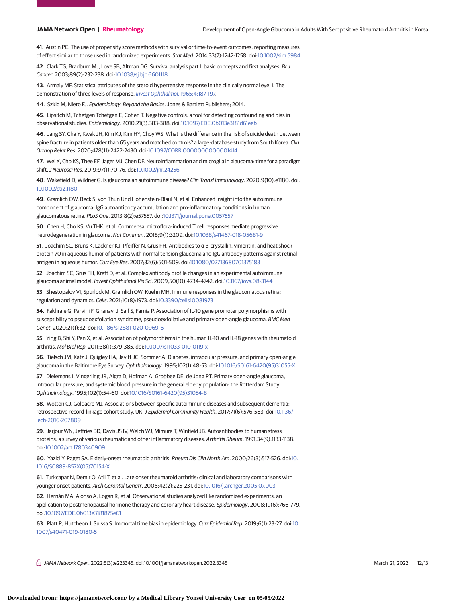**41**. Austin PC. The use of propensity score methods with survival or time-to-event outcomes: reporting measures of effect similar to those used in randomized experiments. Stat Med. 2014;33(7):1242-1258. doi[:10.1002/sim.5984](https://dx.doi.org/10.1002/sim.5984)

**42**. Clark TG, Bradburn MJ, Love SB, Altman DG. Survival analysis part I: basic concepts and first analyses. Br J Cancer. 2003;89(2):232-238. doi[:10.1038/sj.bjc.6601118](https://dx.doi.org/10.1038/sj.bjc.6601118)

**43**. Armaly MF. Statistical attributes of the steroid hypertensive response in the clinically normal eye. I. The demonstration of three levels of response. [Invest Ophthalmol](https://www.ncbi.nlm.nih.gov/pubmed/14283012). 1965;4:187-197.

**44**. Szklo M, Nieto FJ. Epidemiology: Beyond the Basics. Jones & Bartlett Publishers; 2014.

**45**. Lipsitch M, Tchetgen Tchetgen E, Cohen T. Negative controls: a tool for detecting confounding and bias in observational studies. Epidemiology. 2010;21(3):383-388. doi[:10.1097/EDE.0b013e3181d61eeb](https://dx.doi.org/10.1097/EDE.0b013e3181d61eeb)

**46**. Jang SY, Cha Y, Kwak JH, Kim KJ, Kim HY, Choy WS. What is the difference in the risk of suicide death between spine fracture in patients older than 65 years and matched controls? a large-database study from South Korea. Clin Orthop Relat Res. 2020;478(11):2422-2430. doi[:10.1097/CORR.0000000000001414](https://dx.doi.org/10.1097/CORR.0000000000001414)

**47**. Wei X, Cho KS, Thee EF, Jager MJ, Chen DF. Neuroinflammation and microglia in glaucoma: time for a paradigm shift.J Neurosci Res. 2019;97(1):70-76. doi[:10.1002/jnr.24256](https://dx.doi.org/10.1002/jnr.24256)

**48**. Wakefield D, Wildner G. Is glaucoma an autoimmune disease? Clin Transl Immunology. 2020;9(10):e1180. doi: [10.1002/cti2.1180](https://dx.doi.org/10.1002/cti2.1180)

**49**. Gramlich OW, Beck S, von Thun Und Hohenstein-Blaul N, et al. Enhanced insight into the autoimmune component of glaucoma: IgG autoantibody accumulation and pro-inflammatory conditions in human glaucomatous retina. PLoS One. 2013;8(2):e57557. doi[:10.1371/journal.pone.0057557](https://dx.doi.org/10.1371/journal.pone.0057557)

**50**. Chen H, Cho KS, Vu THK, et al. Commensal microflora-induced T cell responses mediate progressive neurodegeneration in glaucoma. Nat Commun. 2018;9(1):3209. doi[:10.1038/s41467-018-05681-9](https://dx.doi.org/10.1038/s41467-018-05681-9)

**51**. Joachim SC, Bruns K, Lackner KJ, Pfeiffer N, Grus FH. Antibodies to α B-crystallin, vimentin, and heat shock protein 70 in aqueous humor of patients with normal tension glaucoma and IgG antibody patterns against retinal antigen in aqueous humor. Curr Eye Res. 2007;32(6):501-509. doi[:10.1080/02713680701375183](https://dx.doi.org/10.1080/02713680701375183)

**52**. Joachim SC, Grus FH, Kraft D, et al. Complex antibody profile changes in an experimental autoimmune glaucoma animal model. Invest Ophthalmol Vis Sci. 2009;50(10):4734-4742. doi[:10.1167/iovs.08-3144](https://dx.doi.org/10.1167/iovs.08-3144)

**53**. Shestopalov VI, Spurlock M, Gramlich OW, Kuehn MH. Immune responses in the glaucomatous retina: regulation and dynamics. Cells. 2021;10(8):1973. doi[:10.3390/cells10081973](https://dx.doi.org/10.3390/cells10081973)

**54**. Fakhraie G, Parvini F, Ghanavi J, Saif S, Farnia P. Association of IL-10 gene promoter polymorphisms with susceptibility to pseudoexfoliation syndrome, pseudoexfoliative and primary open-angle glaucoma. BMC Med Genet. 2020;21(1):32. doi[:10.1186/s12881-020-0969-6](https://dx.doi.org/10.1186/s12881-020-0969-6)

**55**. Ying B, Shi Y, Pan X, et al. Association of polymorphisms in the human IL-10 and IL-18 genes with rheumatoid arthritis. Mol Biol Rep. 2011;38(1):379-385. doi[:10.1007/s11033-010-0119-x](https://dx.doi.org/10.1007/s11033-010-0119-x)

**56**. Tielsch JM, Katz J, Quigley HA, Javitt JC, Sommer A. Diabetes, intraocular pressure, and primary open-angle glaucoma in the Baltimore Eye Survey. Ophthalmology. 1995;102(1):48-53. doi[:10.1016/S0161-6420\(95\)31055-X](https://dx.doi.org/10.1016/S0161-6420(95)31055-X)

**57**. Dielemans I, Vingerling JR, Algra D, Hofman A, Grobbee DE, de Jong PT. Primary open-angle glaucoma, intraocular pressure, and systemic blood pressure in the general elderly population: the Rotterdam Study. Ophthalmology. 1995;102(1):54-60. doi[:10.1016/S0161-6420\(95\)31054-8](https://dx.doi.org/10.1016/S0161-6420(95)31054-8)

**58**. Wotton CJ, Goldacre MJ. Associations between specific autoimmune diseases and subsequent dementia: retrospective record-linkage cohort study, UK.J Epidemiol Community Health. 2017;71(6):576-583. doi[:10.1136/](https://dx.doi.org/10.1136/jech-2016-207809) [jech-2016-207809](https://dx.doi.org/10.1136/jech-2016-207809)

**59**. Jarjour WN, Jeffries BD, Davis JS IV, Welch WJ, Mimura T, Winfield JB. Autoantibodies to human stress proteins: a survey of various rheumatic and other inflammatory diseases. Arthritis Rheum. 1991;34(9):1133-1138. doi[:10.1002/art.1780340909](https://dx.doi.org/10.1002/art.1780340909)

**60**. Yazici Y, Paget SA. Elderly-onset rheumatoid arthritis. Rheum Dis Clin North Am. 2000;26(3):517-526. doi[:10.](https://dx.doi.org/10.1016/S0889-857X(05)70154-X) [1016/S0889-857X\(05\)70154-X](https://dx.doi.org/10.1016/S0889-857X(05)70154-X)

**61**. Turkcapar N, Demir O, Atli T, et al. Late onset rheumatoid arthritis: clinical and laboratory comparisons with younger onset patients. Arch Gerontol Geriatr. 2006;42(2):225-231. doi[:10.1016/j.archger.2005.07.003](https://dx.doi.org/10.1016/j.archger.2005.07.003)

**62**. Hernán MA, Alonso A, Logan R, et al. Observational studies analyzed like randomized experiments: an application to postmenopausal hormone therapy and coronary heart disease. Epidemiology. 2008;19(6):766-779. doi[:10.1097/EDE.0b013e3181875e61](https://dx.doi.org/10.1097/EDE.0b013e3181875e61)

**63**. Platt R, Hutcheon J, Suissa S. Immortal time bias in epidemiology. Curr Epidemiol Rep. 2019;6(1):23-27. doi[:10.](https://dx.doi.org/10.1007/s40471-019-0180-5) [1007/s40471-019-0180-5](https://dx.doi.org/10.1007/s40471-019-0180-5)

 $\bigcap$  JAMA Network Open. 2022;5(3):e223345. doi:10.1001/jamanetworkopen.2022.3345 (Reprinted) March 21, 2022 12/13